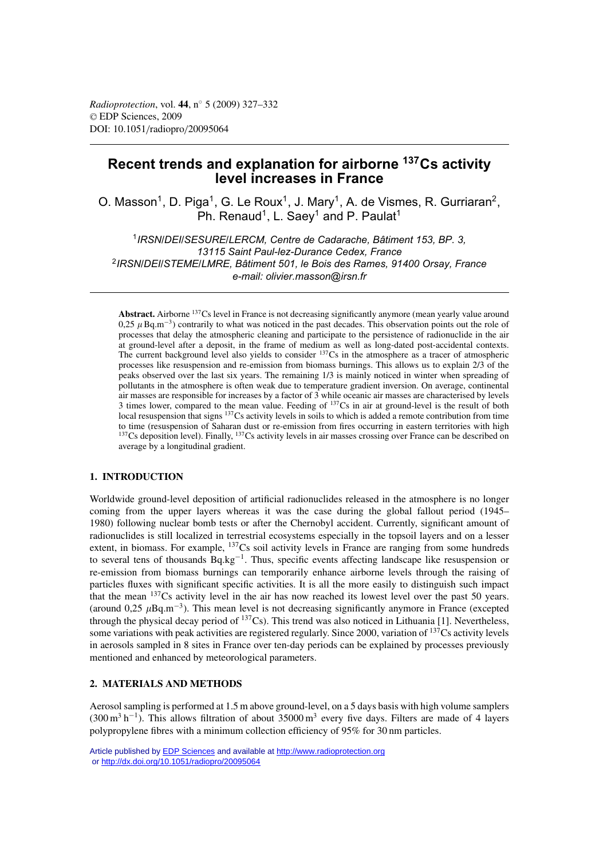*Radioprotection*, vol. **44**, n◦ 5 (2009) 327–332 © EDP Sciences, 2009 DOI: 10.1051/radiopro/20095064

# **Recent trends and explanation for airborne 137Cs activity level increases in France**

O. Masson<sup>1</sup>, D. Piga<sup>1</sup>, G. Le Roux<sup>1</sup>, J. Mary<sup>1</sup>, A. de Vismes, R. Gurriaran<sup>2</sup>, Ph. Renaud<sup>1</sup>, L. Saey<sup>1</sup> and P. Paulat<sup>1</sup>

1*IRSN/DEI/SESURE/LERCM, Centre de Cadarache, Bâtiment 153, BP. 3, 13115 Saint Paul-lez-Durance Cedex, France* 2*IRSN/DEI/STEME/LMRE, Bâtiment 501, le Bois des Rames, 91400 Orsay, France e-mail: olivier.masson@irsn.fr*

**Abstract.** Airborne 137Cs level in France is not decreasing significantly anymore (mean yearly value around 0,25  $\mu$  Bq.m<sup>-3</sup>) contrarily to what was noticed in the past decades. This observation points out the role of processes that delay the atmospheric cleaning and participate to the persistence of radionuclide in the air at ground-level after a deposit, in the frame of medium as well as long-dated post-accidental contexts. The current background level also yields to consider  $137Cs$  in the atmosphere as a tracer of atmospheric processes like resuspension and re-emission from biomass burnings. This allows us to explain 2/3 of the peaks observed over the last six years. The remaining 1/3 is mainly noticed in winter when spreading of pollutants in the atmosphere is often weak due to temperature gradient inversion. On average, continental air masses are responsible for increases by a factor of 3 while oceanic air masses are characterised by levels 3 times lower, compared to the mean value. Feeding of 137Cs in air at ground-level is the result of both local resuspension that signs <sup>137</sup>Cs activity levels in soils to which is added a remote contribution from time to time (resuspension of Saharan dust or re-emission from fires occurring in eastern territories with high <sup>137</sup>Cs deposition level). Finally, <sup>137</sup>Cs activity levels in air masses crossing over France can be described on average by a longitudinal gradient.

# **1. INTRODUCTION**

Worldwide ground-level deposition of artificial radionuclides released in the atmosphere is no longer coming from the upper layers whereas it was the case during the global fallout period (1945– 1980) following nuclear bomb tests or after the Chernobyl accident. Currently, significant amount of radionuclides is still localized in terrestrial ecosystems especially in the topsoil layers and on a lesser extent, in biomass. For example, <sup>137</sup>Cs soil activity levels in France are ranging from some hundreds to several tens of thousands Bq.kg<sup>-1</sup>. Thus, specific events affecting landscape like resuspension or re-emission from biomass burnings can temporarily enhance airborne levels through the raising of particles fluxes with significant specific activities. It is all the more easily to distinguish such impact that the mean 137Cs activity level in the air has now reached its lowest level over the past 50 years. (around 0,25  $\mu$ Bq.m<sup>-3</sup>). This mean level is not decreasing significantly anymore in France (excepted through the physical decay period of  $137Cs$ ). This trend was also noticed in Lithuania [1]. Nevertheless, some variations with peak activities are registered regularly. Since 2000, variation of 137Cs activity levels in aerosols sampled in 8 sites in France over ten-day periods can be explained by processes previously mentioned and enhanced by meteorological parameters.

# **2. MATERIALS AND METHODS**

Aerosol sampling is performed at 1.5 m above ground-level, on a 5 days basis with high volume samplers  $(300 \text{ m}^3 \text{ h}^{-1})$ . This allows filtration of about 35000 m<sup>3</sup> every five days. Filters are made of 4 layers polypropylene fibres with a minimum collection efficiency of 95% for 30 nm particles.

Article published by **EDP** Sciences and available at<http://www.radioprotection.org> or <http://dx.doi.org/10.1051/radiopro/20095064>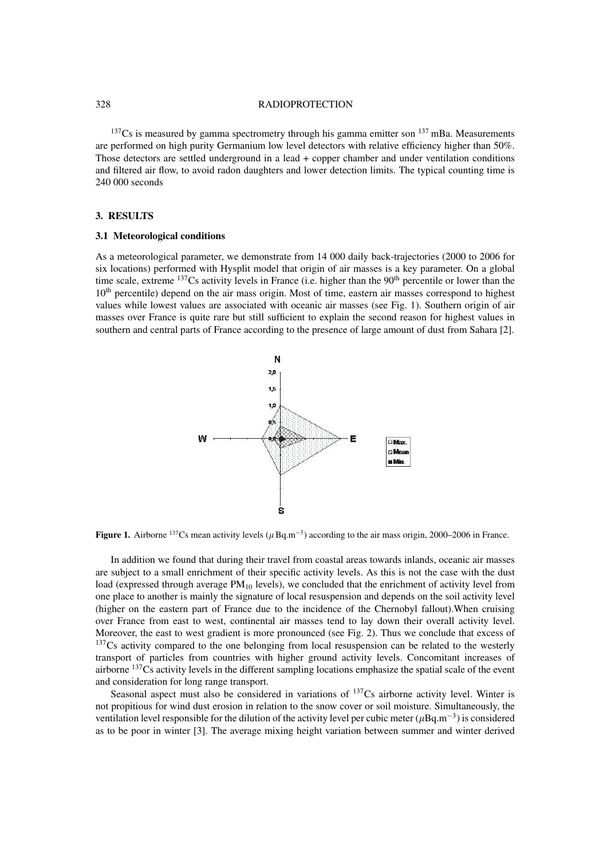#### 328 RADIOPROTECTION

 $137$ Cs is measured by gamma spectrometry through his gamma emitter son  $137$  mBa. Measurements are performed on high purity Germanium low level detectors with relative efficiency higher than 50%. Those detectors are settled underground in a lead + copper chamber and under ventilation conditions and filtered air flow, to avoid radon daughters and lower detection limits. The typical counting time is 240 000 seconds

## **3. RESULTS**

## **3.1 Meteorological conditions**

As a meteorological parameter, we demonstrate from 14 000 daily back-trajectories (2000 to 2006 for six locations) performed with Hysplit model that origin of air masses is a key parameter. On a global time scale, extreme  $137$ Cs activity levels in France (i.e. higher than the  $90<sup>th</sup>$  percentile or lower than the 10<sup>th</sup> percentile) depend on the air mass origin. Most of time, eastern air masses correspond to highest values while lowest values are associated with oceanic air masses (see Fig. 1). Southern origin of air masses over France is quite rare but still sufficient to explain the second reason for highest values in southern and central parts of France according to the presence of large amount of dust from Sahara [2].



**Figure 1.** Airborne <sup>137</sup>Cs mean activity levels ( $\mu$  Bq.m<sup>-3</sup>) according to the air mass origin, 2000–2006 in France.

In addition we found that during their travel from coastal areas towards inlands, oceanic air masses are subject to a small enrichment of their specific activity levels. As this is not the case with the dust load (expressed through average PM<sub>10</sub> levels), we concluded that the enrichment of activity level from one place to another is mainly the signature of local resuspension and depends on the soil activity level (higher on the eastern part of France due to the incidence of the Chernobyl fallout).When cruising over France from east to west, continental air masses tend to lay down their overall activity level. Moreover, the east to west gradient is more pronounced (see Fig. 2). Thus we conclude that excess of <sup>137</sup>Cs activity compared to the one belonging from local resuspension can be related to the westerly transport of particles from countries with higher ground activity levels. Concomitant increases of airborne 137Cs activity levels in the different sampling locations emphasize the spatial scale of the event and consideration for long range transport.

Seasonal aspect must also be considered in variations of  $^{137}Cs$  airborne activity level. Winter is not propitious for wind dust erosion in relation to the snow cover or soil moisture. Simultaneously, the ventilation level responsible for the dilution of the activity level per cubic meter ( $\mu$ Bq.m<sup>-3</sup>) is considered as to be poor in winter [3]. The average mixing height variation between summer and winter derived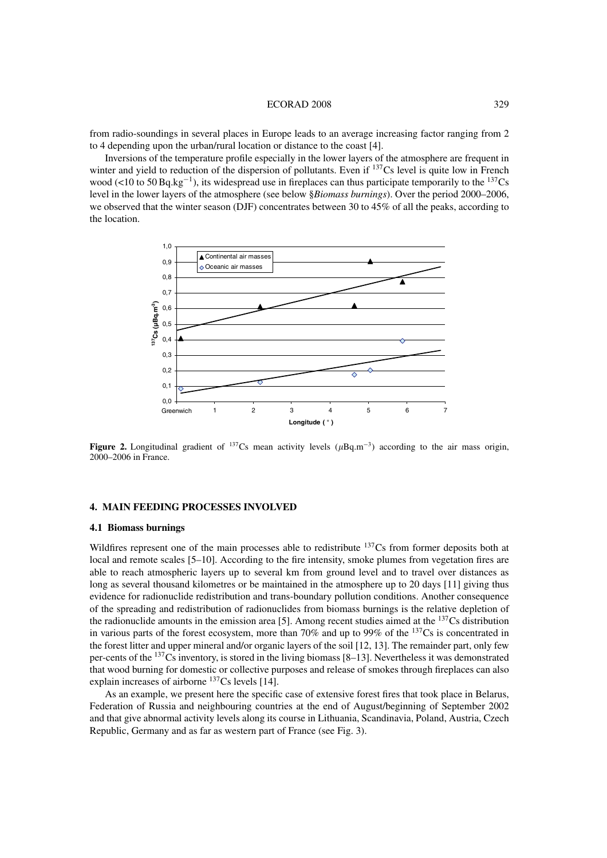#### ECORAD 2008 329

from radio-soundings in several places in Europe leads to an average increasing factor ranging from 2 to 4 depending upon the urban/rural location or distance to the coast [4].

Inversions of the temperature profile especially in the lower layers of the atmosphere are frequent in winter and yield to reduction of the dispersion of pollutants. Even if <sup>137</sup>Cs level is quite low in French wood (<10 to 50 Bq.kg<sup>-1</sup>), its widespread use in fireplaces can thus participate temporarily to the <sup>137</sup>Cs level in the lower layers of the atmosphere (see below §*Biomass burnings*). Over the period 2000–2006, we observed that the winter season (DJF) concentrates between 30 to 45% of all the peaks, according to the location.



**Figure 2.** Longitudinal gradient of  $137$ Cs mean activity levels ( $\mu$ Bq.m<sup>-3</sup>) according to the air mass origin, 2000–2006 in France.

# **4. MAIN FEEDING PROCESSES INVOLVED**

### **4.1 Biomass burnings**

Wildfires represent one of the main processes able to redistribute  $137Cs$  from former deposits both at local and remote scales [5–10]. According to the fire intensity, smoke plumes from vegetation fires are able to reach atmospheric layers up to several km from ground level and to travel over distances as long as several thousand kilometres or be maintained in the atmosphere up to 20 days [11] giving thus evidence for radionuclide redistribution and trans-boundary pollution conditions. Another consequence of the spreading and redistribution of radionuclides from biomass burnings is the relative depletion of the radionuclide amounts in the emission area [5]. Among recent studies aimed at the 137Cs distribution in various parts of the forest ecosystem, more than 70% and up to 99% of the 137Cs is concentrated in the forest litter and upper mineral and/or organic layers of the soil [12, 13]. The remainder part, only few per-cents of the  $137Cs$  inventory, is stored in the living biomass  $[8-13]$ . Nevertheless it was demonstrated that wood burning for domestic or collective purposes and release of smokes through fireplaces can also explain increases of airborne  $137$ Cs levels [14].

As an example, we present here the specific case of extensive forest fires that took place in Belarus, Federation of Russia and neighbouring countries at the end of August/beginning of September 2002 and that give abnormal activity levels along its course in Lithuania, Scandinavia, Poland, Austria, Czech Republic, Germany and as far as western part of France (see Fig. 3).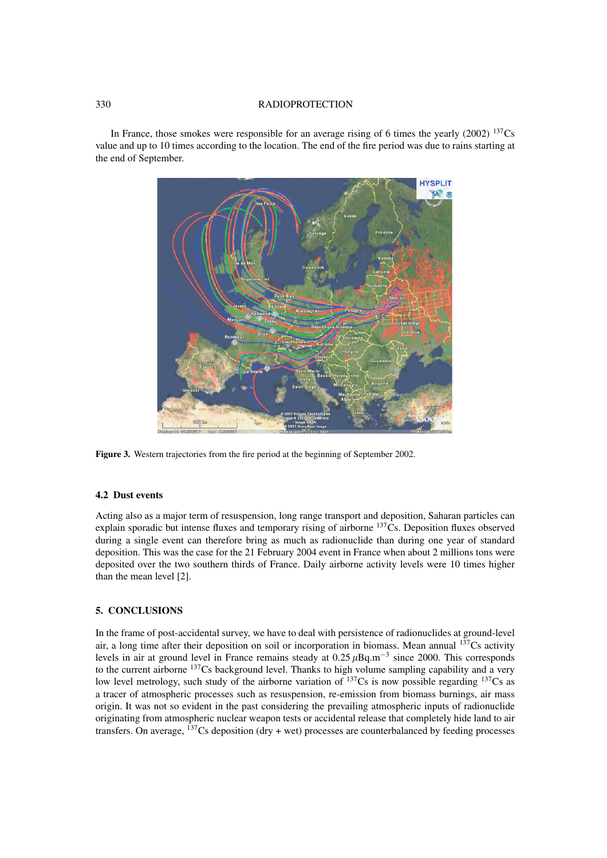### 330 RADIOPROTECTION

In France, those smokes were responsible for an average rising of 6 times the yearly (2002)  $^{137}Cs$ value and up to 10 times according to the location. The end of the fire period was due to rains starting at the end of September.



**Figure 3.** Western trajectories from the fire period at the beginning of September 2002.

# **4.2 Dust events**

Acting also as a major term of resuspension, long range transport and deposition, Saharan particles can explain sporadic but intense fluxes and temporary rising of airborne <sup>137</sup>Cs. Deposition fluxes observed during a single event can therefore bring as much as radionuclide than during one year of standard deposition. This was the case for the 21 February 2004 event in France when about 2 millions tons were deposited over the two southern thirds of France. Daily airborne activity levels were 10 times higher than the mean level [2].

## **5. CONCLUSIONS**

In the frame of post-accidental survey, we have to deal with persistence of radionuclides at ground-level air, a long time after their deposition on soil or incorporation in biomass. Mean annual  $137Cs$  activity levels in air at ground level in France remains steady at  $0.25 \mu Bq.m^{-3}$  since 2000. This corresponds to the current airborne <sup>137</sup>Cs background level. Thanks to high volume sampling capability and a very low level metrology, such study of the airborne variation of  $^{137}Cs$  is now possible regarding  $^{137}Cs$  as a tracer of atmospheric processes such as resuspension, re-emission from biomass burnings, air mass origin. It was not so evident in the past considering the prevailing atmospheric inputs of radionuclide originating from atmospheric nuclear weapon tests or accidental release that completely hide land to air transfers. On average,  $^{137}$ Cs deposition (dry + wet) processes are counterbalanced by feeding processes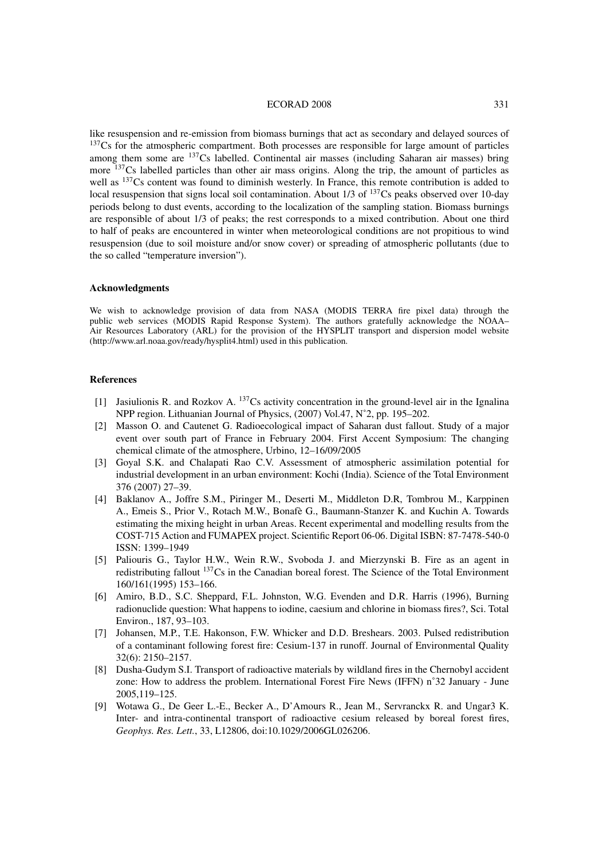#### ECORAD 2008 331

like resuspension and re-emission from biomass burnings that act as secondary and delayed sources of <sup>137</sup>Cs for the atmospheric compartment. Both processes are responsible for large amount of particles among them some are 137Cs labelled. Continental air masses (including Saharan air masses) bring more <sup>137</sup>Cs labelled particles than other air mass origins. Along the trip, the amount of particles as well as <sup>137</sup>Cs content was found to diminish westerly. In France, this remote contribution is added to local resuspension that signs local soil contamination. About 1/3 of <sup>137</sup>Cs peaks observed over 10-day periods belong to dust events, according to the localization of the sampling station. Biomass burnings are responsible of about 1/3 of peaks; the rest corresponds to a mixed contribution. About one third to half of peaks are encountered in winter when meteorological conditions are not propitious to wind resuspension (due to soil moisture and/or snow cover) or spreading of atmospheric pollutants (due to the so called "temperature inversion").

## **Acknowledgments**

We wish to acknowledge provision of data from NASA (MODIS TERRA fire pixel data) through the public web services (MODIS Rapid Response System). The authors gratefully acknowledge the NOAA– Air Resources Laboratory (ARL) for the provision of the HYSPLIT transport and dispersion model website (http://www.arl.noaa.gov/ready/hysplit4.html) used in this publication.

#### **References**

- [1] Jasiulionis R. and Rozkov A. 137Cs activity concentration in the ground-level air in the Ignalina NPP region. Lithuanian Journal of Physics, (2007) Vol.47, N˚2, pp. 195–202.
- [2] Masson O. and Cautenet G. Radioecological impact of Saharan dust fallout. Study of a major event over south part of France in February 2004. First Accent Symposium: The changing chemical climate of the atmosphere, Urbino, 12–16/09/2005
- [3] Goyal S.K. and Chalapati Rao C.V. Assessment of atmospheric assimilation potential for industrial development in an urban environment: Kochi (India). Science of the Total Environment 376 (2007) 27–39.
- [4] Baklanov A., Joffre S.M., Piringer M., Deserti M., Middleton D.R, Tombrou M., Karppinen A., Emeis S., Prior V., Rotach M.W., Bonafè G., Baumann-Stanzer K. and Kuchin A. Towards estimating the mixing height in urban Areas. Recent experimental and modelling results from the COST-715 Action and FUMAPEX project. Scientific Report 06-06. Digital ISBN: 87-7478-540-0 ISSN: 1399–1949
- [5] Paliouris G., Taylor H.W., Wein R.W., Svoboda J. and Mierzynski B. Fire as an agent in redistributing fallout  $137Cs$  in the Canadian boreal forest. The Science of the Total Environment 160/161(1995) 153–166.
- [6] Amiro, B.D., S.C. Sheppard, F.L. Johnston, W.G. Evenden and D.R. Harris (1996), Burning radionuclide question: What happens to iodine, caesium and chlorine in biomass fires?, Sci. Total Environ., 187, 93–103.
- [7] Johansen, M.P., T.E. Hakonson, F.W. Whicker and D.D. Breshears. 2003. Pulsed redistribution of a contaminant following forest fire: Cesium-137 in runoff. Journal of Environmental Quality 32(6): 2150–2157.
- [8] Dusha-Gudym S.I. Transport of radioactive materials by wildland fires in the Chernobyl accident zone: How to address the problem. International Forest Fire News (IFFN) n˚32 January - June 2005,119–125.
- [9] Wotawa G., De Geer L.-E., Becker A., D'Amours R., Jean M., Servranckx R. and Ungar3 K. Inter- and intra-continental transport of radioactive cesium released by boreal forest fires, *Geophys. Res. Lett.*, 33, L12806, doi:10.1029/2006GL026206.